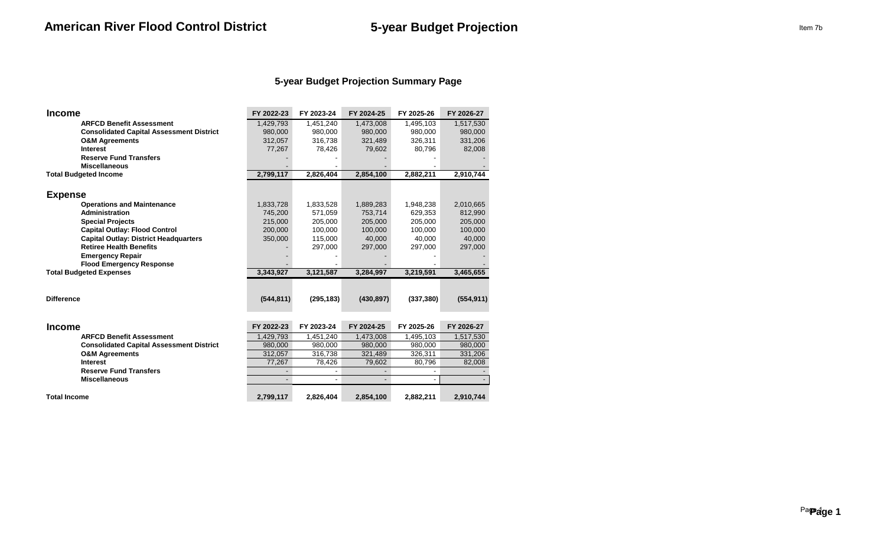## **5-year Budget Projection Summary Page**

| <b>Income</b>                                   | FY 2022-23 | FY 2023-24 | FY 2024-25 | FY 2025-26 | FY 2026-27 |
|-------------------------------------------------|------------|------------|------------|------------|------------|
| <b>ARFCD Benefit Assessment</b>                 | 1,429,793  | 1,451,240  | 1,473,008  | 1,495,103  | 1,517,530  |
| <b>Consolidated Capital Assessment District</b> | 980,000    | 980,000    | 980,000    | 980,000    | 980,000    |
| <b>O&amp;M Agreements</b>                       | 312,057    | 316,738    | 321,489    | 326,311    | 331,206    |
| <b>Interest</b>                                 | 77,267     | 78,426     | 79,602     | 80,796     | 82,008     |
| <b>Reserve Fund Transfers</b>                   |            |            |            |            |            |
| <b>Miscellaneous</b>                            |            |            |            |            |            |
| <b>Total Budgeted Income</b>                    | 2,799,117  | 2,826,404  | 2,854,100  | 2,882,211  | 2,910,744  |
|                                                 |            |            |            |            |            |
| <b>Expense</b>                                  |            |            |            |            |            |
| <b>Operations and Maintenance</b>               | 1,833,728  | 1,833,528  | 1,889,283  | 1,948,238  | 2,010,665  |
| Administration                                  | 745,200    | 571,059    | 753,714    | 629,353    | 812,990    |
| <b>Special Projects</b>                         | 215,000    | 205,000    | 205,000    | 205,000    | 205,000    |
| <b>Capital Outlay: Flood Control</b>            | 200,000    | 100,000    | 100,000    | 100,000    | 100,000    |
| <b>Capital Outlay: District Headquarters</b>    | 350,000    | 115,000    | 40,000     | 40,000     | 40,000     |
| <b>Retiree Health Benefits</b>                  |            | 297,000    | 297,000    | 297,000    | 297,000    |
| <b>Emergency Repair</b>                         |            |            |            |            |            |
| <b>Flood Emergency Response</b>                 |            |            |            |            |            |
| <b>Total Budgeted Expenses</b>                  | 3,343,927  | 3,121,587  | 3,284,997  | 3,219,591  | 3,465,655  |
|                                                 |            |            |            |            |            |
| <b>Difference</b>                               | (544, 811) | (295, 183) | (430, 897) | (337, 380) | (554, 911) |
|                                                 |            |            |            |            |            |
| <b>Income</b>                                   | FY 2022-23 | FY 2023-24 | FY 2024-25 | FY 2025-26 | FY 2026-27 |
| <b>ARFCD Benefit Assessment</b>                 | 1,429,793  | 1,451,240  | 1,473,008  | 1,495,103  | 1,517,530  |
| <b>Consolidated Capital Assessment District</b> | 980,000    | 980,000    | 980,000    | 980,000    | 980,000    |
| <b>O&amp;M Agreements</b>                       | 312,057    | 316,738    | 321,489    | 326,311    | 331,206    |
| <b>Interest</b>                                 | 77,267     | 78,426     | 79,602     | 80,796     | 82,008     |
| <b>Reserve Fund Transfers</b>                   |            |            |            |            |            |
| <b>Miscellaneous</b>                            |            |            |            |            |            |
| <b>Total Income</b>                             | 2,799,117  | 2,826,404  | 2,854,100  | 2,882,211  | 2,910,744  |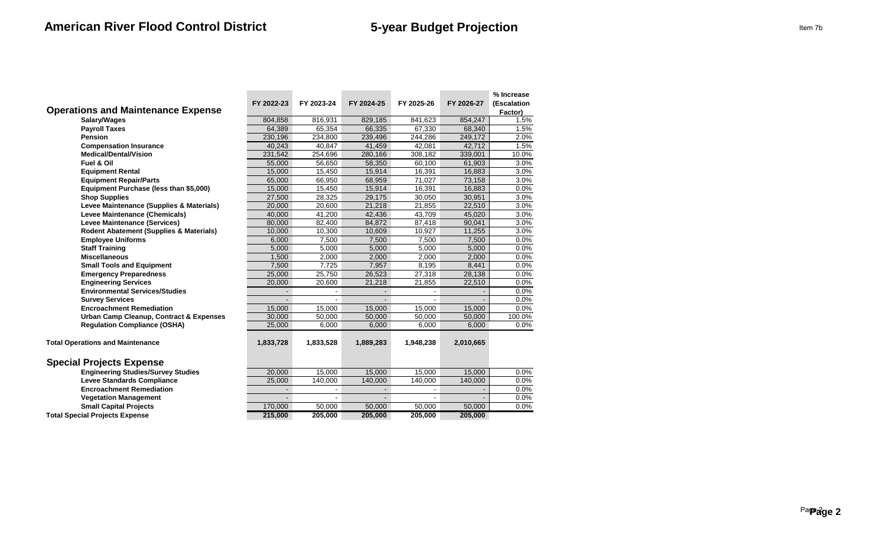|                                                    |                |                |                          |            |            | % Increase  |
|----------------------------------------------------|----------------|----------------|--------------------------|------------|------------|-------------|
|                                                    | FY 2022-23     | FY 2023-24     | FY 2024-25               | FY 2025-26 | FY 2026-27 | (Escalation |
| <b>Operations and Maintenance Expense</b>          |                |                |                          |            |            | Factor)     |
| Salary/Wages                                       | 804,858        | 816,931        | 829,185                  | 841.623    | 854,247    | 1.5%        |
| <b>Payroll Taxes</b>                               | 64,389         | 65,354         | 66,335                   | 67,330     | 68,340     | 1.5%        |
| <b>Pension</b>                                     | 230,196        | 234,800        | 239,496                  | 244,286    | 249,172    | 2.0%        |
| <b>Compensation Insurance</b>                      | 40,243         | 40,847         | 41,459                   | 42,081     | 42,712     | 1.5%        |
| <b>Medical/Dental/Vision</b>                       | 231,542        | 254,696        | 280,166                  | 308,182    | 339,001    | 10.0%       |
| Fuel & Oil                                         | 55,000         | 56,650         | 58,350                   | 60,100     | 61,903     | 3.0%        |
| <b>Equipment Rental</b>                            | 15.000         | 15,450         | 15,914                   | 16,391     | 16,883     | 3.0%        |
| <b>Equipment Repair/Parts</b>                      | 65,000         | 66,950         | 68,959                   | 71,027     | 73,158     | 3.0%        |
| Equipment Purchase (less than \$5,000)             | 15,000         | 15,450         | 15,914                   | 16,391     | 16,883     | 0.0%        |
| <b>Shop Supplies</b>                               | 27,500         | 28,325         | 29,175                   | 30,050     | 30,951     | 3.0%        |
| Levee Maintenance (Supplies & Materials)           | 20.000         | 20,600         | 21.218                   | 21,855     | 22,510     | 3.0%        |
| Levee Maintenance (Chemicals)                      | 40,000         | 41,200         | 42,436                   | 43,709     | 45,020     | 3.0%        |
| <b>Levee Maintenance (Services)</b>                | 80,000         | 82,400         | 84,872                   | 87,418     | 90,041     | 3.0%        |
| Rodent Abatement (Supplies & Materials)            | 10,000         | 10,300         | 10,609                   | 10,927     | 11,255     | 3.0%        |
| <b>Employee Uniforms</b>                           | 6,000          | 7,500          | 7,500                    | 7,500      | 7,500      | 0.0%        |
| <b>Staff Training</b>                              | 5,000          | 5,000          | 5,000                    | 5,000      | 5,000      | 0.0%        |
| <b>Miscellaneous</b>                               | 1,500          | 2,000          | 2,000                    | 2.000      | 2,000      | 0.0%        |
| <b>Small Tools and Equipment</b>                   | 7,500          | 7.725          | 7,957                    | 8,195      | 8,441      | 0.0%        |
| <b>Emergency Preparedness</b>                      | 25,000         | 25,750         | 26,523                   | 27,318     | 28,138     | 0.0%        |
| <b>Engineering Services</b>                        | 20,000         | 20,600         | 21,218                   | 21,855     | 22,510     | 0.0%        |
| <b>Environmental Services/Studies</b>              |                |                |                          |            |            | 0.0%        |
| <b>Survey Services</b>                             |                |                |                          |            |            | 0.0%        |
| <b>Encroachment Remediation</b>                    | 15,000         | 15,000         | 15,000                   | 15,000     | 15,000     | 0.0%        |
| <b>Urban Camp Cleanup, Contract &amp; Expenses</b> | 30,000         | 50,000         | 50,000                   | 50,000     | 50,000     | 100.0%      |
| <b>Regulation Compliance (OSHA)</b>                | 25.000         | 6.000          | 6.000                    | 6,000      | 6.000      | 0.0%        |
|                                                    |                |                |                          |            |            |             |
| <b>Total Operations and Maintenance</b>            | 1,833,728      | 1,833,528      | 1,889,283                | 1,948,238  | 2,010,665  |             |
|                                                    |                |                |                          |            |            |             |
| <b>Special Projects Expense</b>                    |                |                |                          |            |            |             |
| <b>Engineering Studies/Survey Studies</b>          | 20,000         | 15,000         | 15,000                   | 15,000     | 15,000     | 0.0%        |
| <b>Levee Standards Compliance</b>                  | 25,000         | 140,000        | 140,000                  | 140,000    | 140,000    | 0.0%        |
| <b>Encroachment Remediation</b>                    | $\blacksquare$ | $\blacksquare$ | $\overline{\phantom{a}}$ |            |            | 0.0%        |
| <b>Vegetation Management</b>                       |                |                | $\overline{\phantom{a}}$ |            |            | 0.0%        |
| <b>Small Capital Projects</b>                      | 170,000        | 50,000         | 50,000                   | 50,000     | 50,000     | 0.0%        |
| <b>Total Special Projects Expense</b>              | 215,000        | 205,000        | 205,000                  | 205,000    | 205,000    |             |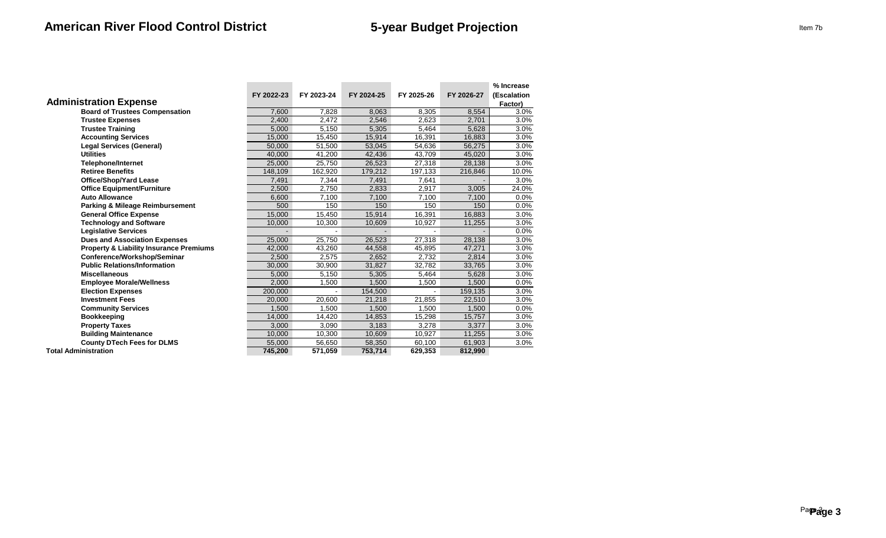| <b>Administration Expense</b>                      | FY 2022-23 | FY 2023-24 | FY 2024-25 | FY 2025-26 | FY 2026-27 | % Increase<br>(Escalation<br>Factor) |
|----------------------------------------------------|------------|------------|------------|------------|------------|--------------------------------------|
| <b>Board of Trustees Compensation</b>              | 7.600      | 7.828      | 8,063      | 8,305      | 8,554      | 3.0%                                 |
| <b>Trustee Expenses</b>                            | 2,400      | 2,472      | 2,546      | 2,623      | 2,701      | 3.0%                                 |
| <b>Trustee Training</b>                            | 5.000      | 5,150      | 5,305      | 5,464      | 5,628      | 3.0%                                 |
| <b>Accounting Services</b>                         | 15,000     | 15,450     | 15,914     | 16,391     | 16,883     | 3.0%                                 |
| <b>Legal Services (General)</b>                    | 50,000     | 51,500     | 53,045     | 54,636     | 56,275     | 3.0%                                 |
| <b>Utilities</b>                                   | 40,000     | 41,200     | 42,436     | 43,709     | 45,020     | 3.0%                                 |
| <b>Telephone/Internet</b>                          | 25.000     | 25,750     | 26,523     | 27,318     | 28,138     | 3.0%                                 |
| <b>Retiree Benefits</b>                            | 148,109    | 162,920    | 179,212    | 197,133    | 216,846    | 10.0%                                |
| <b>Office/Shop/Yard Lease</b>                      | 7,491      | 7,344      | 7,491      | 7,641      |            | 3.0%                                 |
| <b>Office Equipment/Furniture</b>                  | 2,500      | 2,750      | 2,833      | 2,917      | 3,005      | 24.0%                                |
| <b>Auto Allowance</b>                              | 6,600      | 7,100      | 7,100      | 7,100      | 7,100      | $0.0\%$                              |
| <b>Parking &amp; Mileage Reimbursement</b>         | 500        | 150        | 150        | 150        | 150        | $0.0\%$                              |
| <b>General Office Expense</b>                      | 15,000     | 15,450     | 15,914     | 16,391     | 16,883     | 3.0%                                 |
| <b>Technology and Software</b>                     | 10,000     | 10,300     | 10,609     | 10,927     | 11,255     | 3.0%                                 |
| <b>Legislative Services</b>                        |            |            |            |            |            | 0.0%                                 |
| <b>Dues and Association Expenses</b>               | 25,000     | 25,750     | 26,523     | 27,318     | 28,138     | 3.0%                                 |
| <b>Property &amp; Liability Insurance Premiums</b> | 42,000     | 43,260     | 44,558     | 45,895     | 47,271     | 3.0%                                 |
| Conference/Workshop/Seminar                        | 2,500      | 2,575      | 2,652      | 2,732      | 2,814      | 3.0%                                 |
| <b>Public Relations/Information</b>                | 30,000     | 30,900     | 31,827     | 32,782     | 33,765     | 3.0%                                 |
| <b>Miscellaneous</b>                               | 5,000      | 5,150      | 5,305      | 5,464      | 5,628      | 3.0%                                 |
| <b>Employee Morale/Wellness</b>                    | 2,000      | 1,500      | 1,500      | 1,500      | 1.500      | 0.0%                                 |
| <b>Election Expenses</b>                           | 200,000    |            | 154,500    |            | 159,135    | 3.0%                                 |
| <b>Investment Fees</b>                             | 20,000     | 20,600     | 21,218     | 21,855     | 22,510     | 3.0%                                 |
| <b>Community Services</b>                          | 1,500      | 1,500      | 1,500      | 1,500      | 1,500      | 0.0%                                 |
| <b>Bookkeeping</b>                                 | 14.000     | 14,420     | 14,853     | 15,298     | 15,757     | 3.0%                                 |
| <b>Property Taxes</b>                              | 3.000      | 3,090      | 3,183      | 3,278      | 3,377      | 3.0%                                 |
| <b>Building Maintenance</b>                        | 10,000     | 10,300     | 10,609     | 10,927     | 11,255     | 3.0%                                 |
| <b>County DTech Fees for DLMS</b>                  | 55,000     | 56,650     | 58,350     | 60,100     | 61,903     | 3.0%                                 |
| <b>Total Administration</b>                        | 745,200    | 571,059    | 753,714    | 629,353    | 812,990    |                                      |